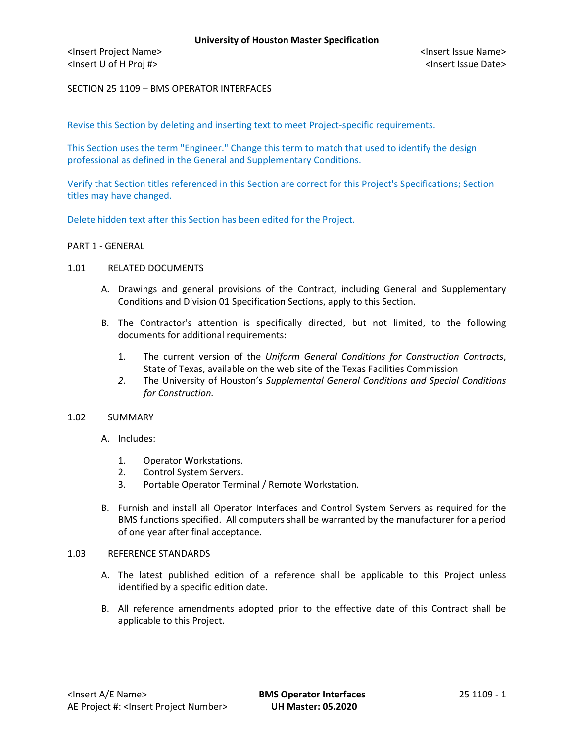<Insert Project Name> <Insert Issue Name> <Insert U of H Proj #> <Insert Issue Date>

SECTION 25 1109 – BMS OPERATOR INTERFACES

Revise this Section by deleting and inserting text to meet Project-specific requirements.

This Section uses the term "Engineer." Change this term to match that used to identify the design professional as defined in the General and Supplementary Conditions.

Verify that Section titles referenced in this Section are correct for this Project's Specifications; Section titles may have changed.

Delete hidden text after this Section has been edited for the Project.

#### PART 1 - GENERAL

# 1.01 RELATED DOCUMENTS

- A. Drawings and general provisions of the Contract, including General and Supplementary Conditions and Division 01 Specification Sections, apply to this Section.
- B. The Contractor's attention is specifically directed, but not limited, to the following documents for additional requirements:
	- 1. The current version of the *Uniform General Conditions for Construction Contracts*, State of Texas, available on the web site of the Texas Facilities Commission
	- *2.* The University of Houston's *Supplemental General Conditions and Special Conditions for Construction.*

#### 1.02 SUMMARY

- A. Includes:
	- 1. Operator Workstations.
	- 2. Control System Servers.
	- 3. Portable Operator Terminal / Remote Workstation.
- B. Furnish and install all Operator Interfaces and Control System Servers as required for the BMS functions specified. All computers shall be warranted by the manufacturer for a period of one year after final acceptance.

#### 1.03 REFERENCE STANDARDS

- A. The latest published edition of a reference shall be applicable to this Project unless identified by a specific edition date.
- B. All reference amendments adopted prior to the effective date of this Contract shall be applicable to this Project.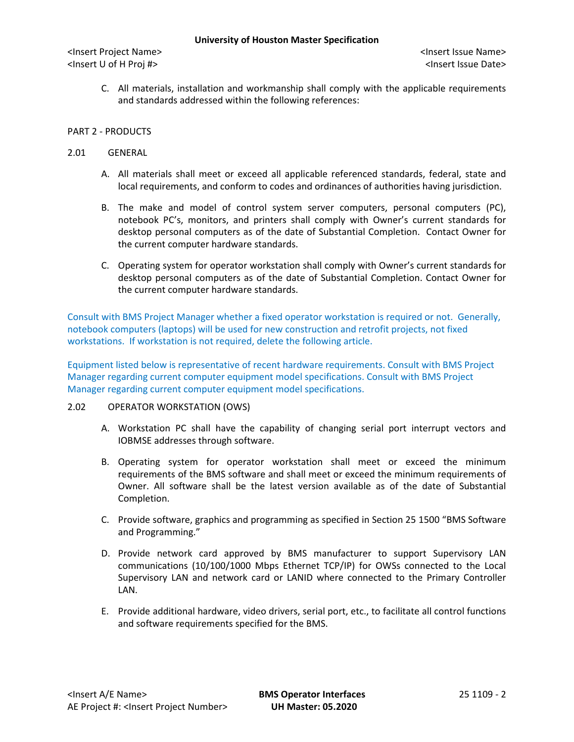<Insert Project Name> <Insert Issue Name> <Insert U of H Proj #> <Insert Issue Date>

C. All materials, installation and workmanship shall comply with the applicable requirements and standards addressed within the following references:

# PART 2 - PRODUCTS

### 2.01 GENERAL

- A. All materials shall meet or exceed all applicable referenced standards, federal, state and local requirements, and conform to codes and ordinances of authorities having jurisdiction.
- B. The make and model of control system server computers, personal computers (PC), notebook PC's, monitors, and printers shall comply with Owner's current standards for desktop personal computers as of the date of Substantial Completion. Contact Owner for the current computer hardware standards.
- C. Operating system for operator workstation shall comply with Owner's current standards for desktop personal computers as of the date of Substantial Completion. Contact Owner for the current computer hardware standards.

Consult with BMS Project Manager whether a fixed operator workstation is required or not. Generally, notebook computers (laptops) will be used for new construction and retrofit projects, not fixed workstations. If workstation is not required, delete the following article.

Equipment listed below is representative of recent hardware requirements. Consult with BMS Project Manager regarding current computer equipment model specifications. Consult with BMS Project Manager regarding current computer equipment model specifications.

# 2.02 OPERATOR WORKSTATION (OWS)

- A. Workstation PC shall have the capability of changing serial port interrupt vectors and IOBMSE addresses through software.
- B. Operating system for operator workstation shall meet or exceed the minimum requirements of the BMS software and shall meet or exceed the minimum requirements of Owner. All software shall be the latest version available as of the date of Substantial Completion.
- C. Provide software, graphics and programming as specified in Section 25 1500 "BMS Software and Programming."
- D. Provide network card approved by BMS manufacturer to support Supervisory LAN communications (10/100/1000 Mbps Ethernet TCP/IP) for OWSs connected to the Local Supervisory LAN and network card or LANID where connected to the Primary Controller LAN.
- E. Provide additional hardware, video drivers, serial port, etc., to facilitate all control functions and software requirements specified for the BMS.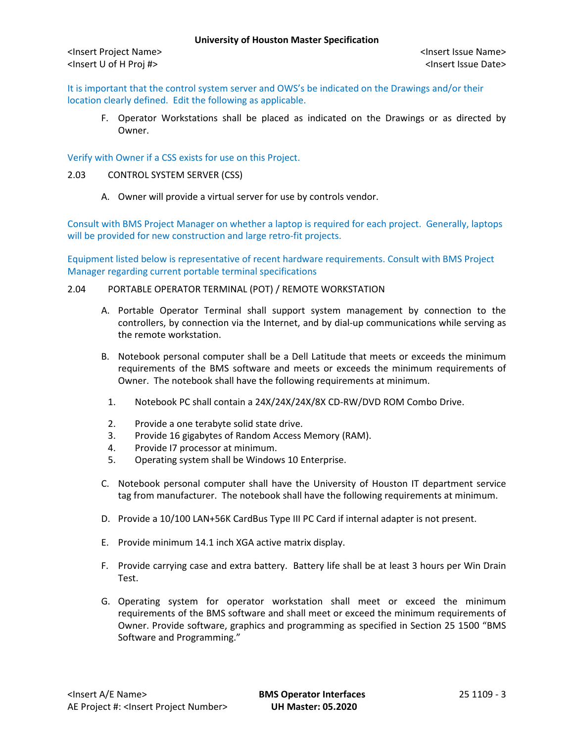It is important that the control system server and OWS's be indicated on the Drawings and/or their location clearly defined. Edit the following as applicable.

F. Operator Workstations shall be placed as indicated on the Drawings or as directed by Owner.

Verify with Owner if a CSS exists for use on this Project.

- 2.03 CONTROL SYSTEM SERVER (CSS)
	- A. Owner will provide a virtual server for use by controls vendor.

Consult with BMS Project Manager on whether a laptop is required for each project. Generally, laptops will be provided for new construction and large retro-fit projects.

Equipment listed below is representative of recent hardware requirements. Consult with BMS Project Manager regarding current portable terminal specifications

# 2.04 PORTABLE OPERATOR TERMINAL (POT) / REMOTE WORKSTATION

- A. Portable Operator Terminal shall support system management by connection to the controllers, by connection via the Internet, and by dial-up communications while serving as the remote workstation.
- B. Notebook personal computer shall be a Dell Latitude that meets or exceeds the minimum requirements of the BMS software and meets or exceeds the minimum requirements of Owner. The notebook shall have the following requirements at minimum.
- 1. Notebook PC shall contain a 24X/24X/24X/8X CD-RW/DVD ROM Combo Drive.
- 2. Provide a one terabyte solid state drive.
- 3. Provide 16 gigabytes of Random Access Memory (RAM).
- 4. Provide I7 processor at minimum.
- 5. Operating system shall be Windows 10 Enterprise.
- C. Notebook personal computer shall have the University of Houston IT department service tag from manufacturer. The notebook shall have the following requirements at minimum.
- D. Provide a 10/100 LAN+56K CardBus Type III PC Card if internal adapter is not present.
- E. Provide minimum 14.1 inch XGA active matrix display.
- F. Provide carrying case and extra battery. Battery life shall be at least 3 hours per Win Drain Test.
- G. Operating system for operator workstation shall meet or exceed the minimum requirements of the BMS software and shall meet or exceed the minimum requirements of Owner. Provide software, graphics and programming as specified in Section 25 1500 "BMS Software and Programming."